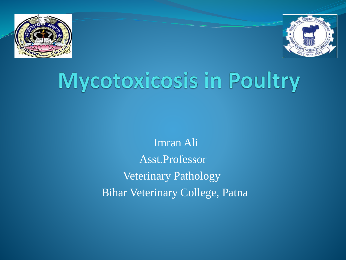



# Mycotoxicosis in Poultry

Imran Ali Asst.Professor Veterinary Pathology Bihar Veterinary College, Patna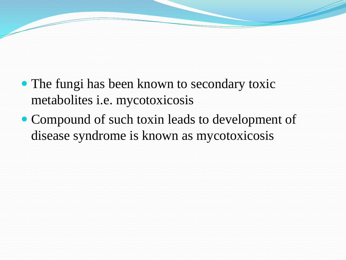- The fungi has been known to secondary toxic metabolites i.e. mycotoxicosis
- Compound of such toxin leads to development of disease syndrome is known as mycotoxicosis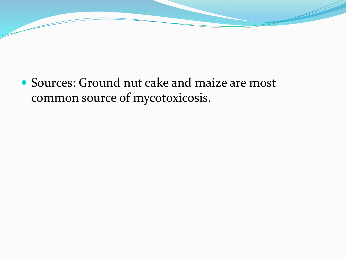#### • Sources: Ground nut cake and maize are most common source of mycotoxicosis.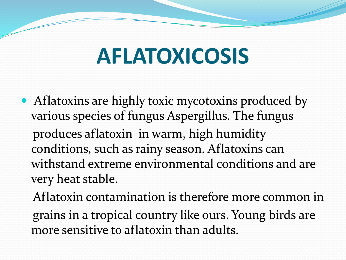# **AFLATOXICOSIS**

- Aflatoxins are highly toxic mycotoxins produced by various species of fungus Aspergillus. The fungus produces aflatoxin in warm, high humidity conditions, such as rainy season. Aflatoxins can withstand extreme environmental conditions and are very heat stable.
	- Aflatoxin contamination is therefore more common in grains in a tropical country like ours. Young birds are more sensitive to aflatoxin than adults.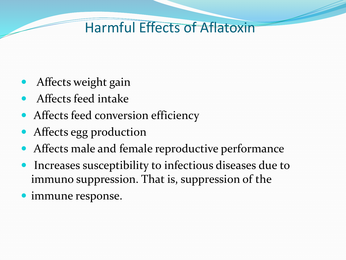### Harmful Effects of Aflatoxin

- Affects weight gain
- Affects feed intake
- Affects feed conversion efficiency
- Affects egg production
- Affects male and female reproductive performance
- Increases susceptibility to infectious diseases due to immuno suppression. That is, suppression of the
- immune response.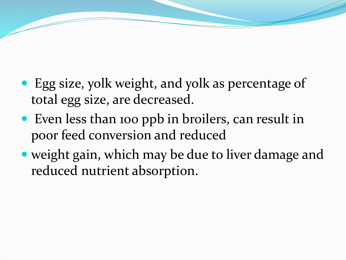- Egg size, yolk weight, and yolk as percentage of total egg size, are decreased.
- Even less than 100 ppb in broilers, can result in poor feed conversion and reduced
- weight gain, which may be due to liver damage and reduced nutrient absorption.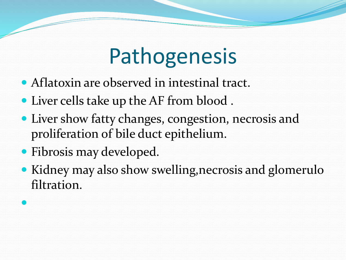# Pathogenesis

- Aflatoxin are observed in intestinal tract.
- Liver cells take up the AF from blood .
- Liver show fatty changes, congestion, necrosis and proliferation of bile duct epithelium.
- Fibrosis may developed.

 $\bullet$ 

 Kidney may also show swelling,necrosis and glomerulo filtration.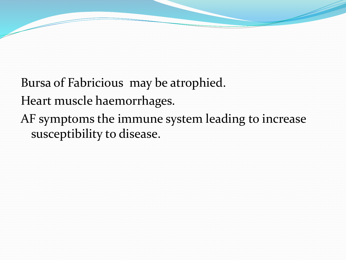Bursa of Fabricious may be atrophied. Heart muscle haemorrhages. AF symptoms the immune system leading to increase susceptibility to disease.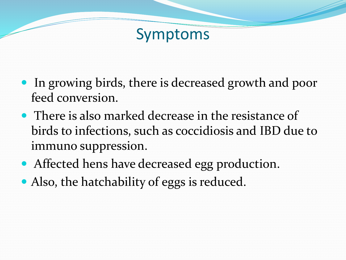### Symptoms

- In growing birds, there is decreased growth and poor feed conversion.
- There is also marked decrease in the resistance of birds to infections, such as coccidiosis and IBD due to immuno suppression.
- Affected hens have decreased egg production.
- Also, the hatchability of eggs is reduced.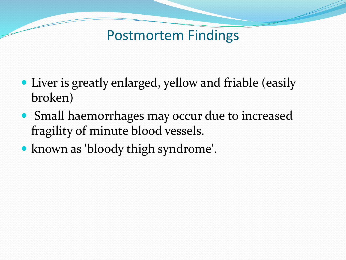#### Postmortem Findings

- Liver is greatly enlarged, yellow and friable (easily broken)
- Small haemorrhages may occur due to increased fragility of minute blood vessels.
- known as 'bloody thigh syndrome'.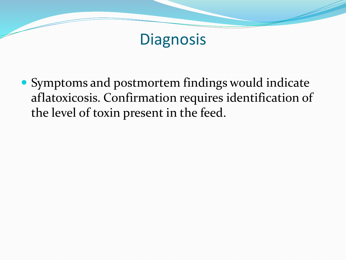## **Diagnosis**

 Symptoms and postmortem findings would indicate aflatoxicosis. Confirmation requires identification of the level of toxin present in the feed.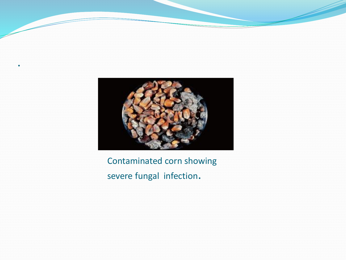

.

Contaminated corn showing severe fungal infection.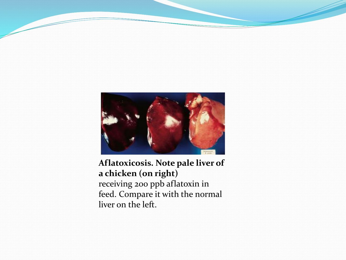

#### **Aflatoxicosis. Note pale liver of a chicken (on right)** receiving 200 ppb aflatoxin in feed. Compare it with the normal liver on the left.